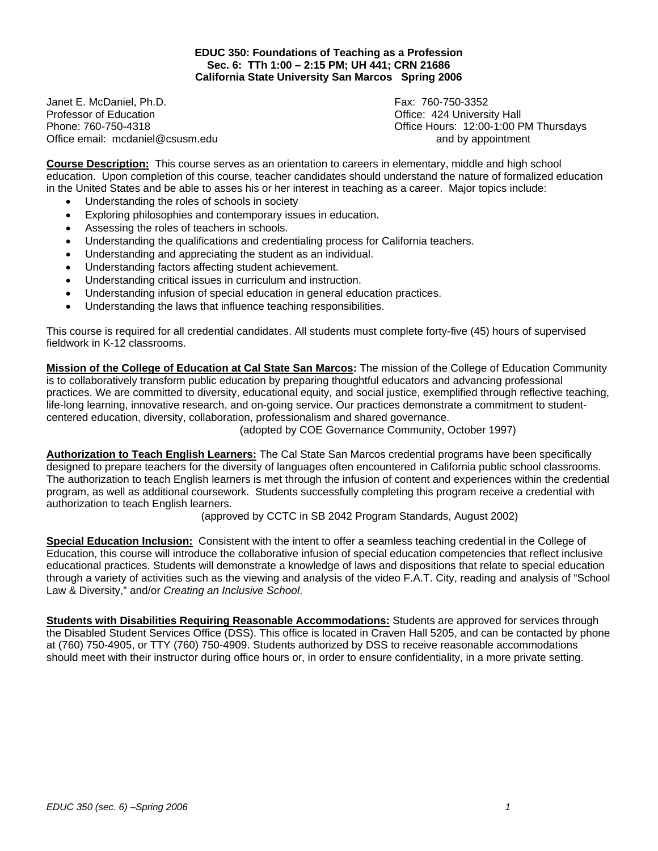**EDUC 350: Foundations of Teaching as a Profession Sec. 6: TTh 1:00 – 2:15 PM; UH 441; CRN 21686 California State University San Marcos Spring 2006** 

Janet E. McDaniel, Ph.D. Fax: 760-750-3352 Professor of Education **Department Controller Controller Controller Controller Controller Controller Controller Controller Controller Controller Controller Controller Controller Controller Controller Controller Controller** Office email: mcdaniel@csusm.edu and by appointment

Phone: 760-750-4318 Office Hours: 12:00-1:00 PM Thursdays

**Course Description:** This course serves as an orientation to careers in elementary, middle and high school education. Upon completion of this course, teacher candidates should understand the nature of formalized education in the United States and be able to asses his or her interest in teaching as a career. Major topics include:

- Understanding the roles of schools in society
- Exploring philosophies and contemporary issues in education.
- Assessing the roles of teachers in schools.
- Understanding the qualifications and credentialing process for California teachers.
- Understanding and appreciating the student as an individual.
- Understanding factors affecting student achievement.
- Understanding critical issues in curriculum and instruction.
- Understanding infusion of special education in general education practices.
- Understanding the laws that influence teaching responsibilities.

This course is required for all credential candidates. All students must complete forty-five (45) hours of supervised fieldwork in K-12 classrooms.

**Mission of the College of Education at Cal State San Marcos:** The mission of the College of Education Community is to collaboratively transform public education by preparing thoughtful educators and advancing professional practices. We are committed to diversity, educational equity, and social justice, exemplified through reflective teaching, life-long learning, innovative research, and on-going service. Our practices demonstrate a commitment to studentcentered education, diversity, collaboration, professionalism and shared governance.

(adopted by COE Governance Community, October 1997)

**Authorization to Teach English Learners:** The Cal State San Marcos credential programs have been specifically designed to prepare teachers for the diversity of languages often encountered in California public school classrooms. The authorization to teach English learners is met through the infusion of content and experiences within the credential program, as well as additional coursework. Students successfully completing this program receive a credential with authorization to teach English learners.

(approved by CCTC in SB 2042 Program Standards, August 2002)

**Special Education Inclusion:** Consistent with the intent to offer a seamless teaching credential in the College of Education, this course will introduce the collaborative infusion of special education competencies that reflect inclusive educational practices. Students will demonstrate a knowledge of laws and dispositions that relate to special education through a variety of activities such as the viewing and analysis of the video F.A.T. City, reading and analysis of "School Law & Diversity," and/or *Creating an Inclusive School*.

**Students with Disabilities Requiring Reasonable Accommodations:** Students are approved for services through the Disabled Student Services Office (DSS). This office is located in Craven Hall 5205, and can be contacted by phone at (760) 750-4905, or TTY (760) 750-4909. Students authorized by DSS to receive reasonable accommodations should meet with their instructor during office hours or, in order to ensure confidentiality, in a more private setting.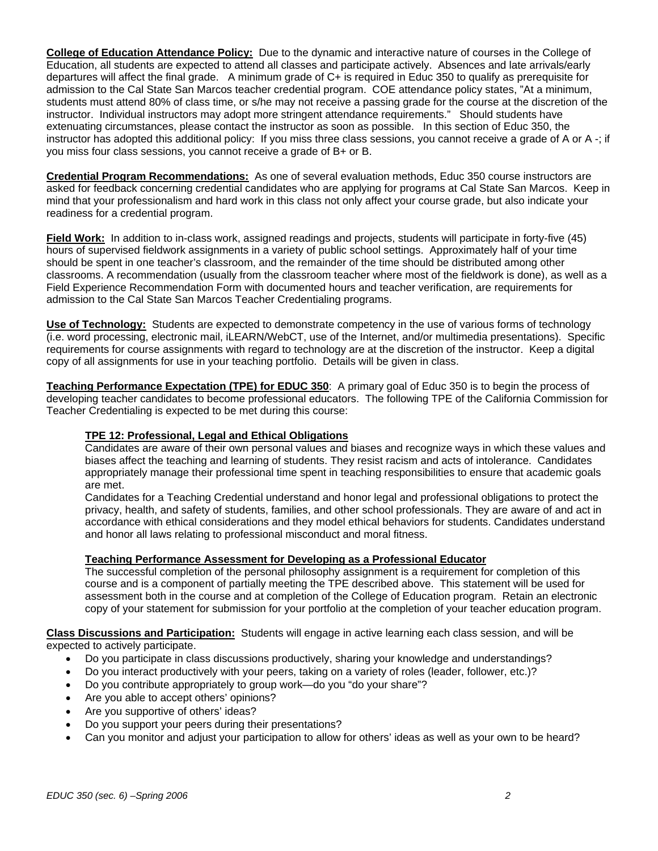**College of Education Attendance Policy:** Due to the dynamic and interactive nature of courses in the College of Education, all students are expected to attend all classes and participate actively. Absences and late arrivals/early departures will affect the final grade. A minimum grade of C+ is required in Educ 350 to qualify as prerequisite for admission to the Cal State San Marcos teacher credential program. COE attendance policy states, "At a minimum, students must attend 80% of class time, or s/he may not receive a passing grade for the course at the discretion of the instructor. Individual instructors may adopt more stringent attendance requirements." Should students have extenuating circumstances, please contact the instructor as soon as possible. In this section of Educ 350, the instructor has adopted this additional policy: If you miss three class sessions, you cannot receive a grade of A or A -; if you miss four class sessions, you cannot receive a grade of B+ or B.

**Credential Program Recommendations:** As one of several evaluation methods, Educ 350 course instructors are asked for feedback concerning credential candidates who are applying for programs at Cal State San Marcos. Keep in mind that your professionalism and hard work in this class not only affect your course grade, but also indicate your readiness for a credential program.

**Field Work:** In addition to in-class work, assigned readings and projects, students will participate in forty-five (45) hours of supervised fieldwork assignments in a variety of public school settings. Approximately half of your time should be spent in one teacher's classroom, and the remainder of the time should be distributed among other classrooms. A recommendation (usually from the classroom teacher where most of the fieldwork is done), as well as a Field Experience Recommendation Form with documented hours and teacher verification, are requirements for admission to the Cal State San Marcos Teacher Credentialing programs.

**Use of Technology:** Students are expected to demonstrate competency in the use of various forms of technology (i.e. word processing, electronic mail, iLEARN/WebCT, use of the Internet, and/or multimedia presentations). Specific requirements for course assignments with regard to technology are at the discretion of the instructor. Keep a digital copy of all assignments for use in your teaching portfolio. Details will be given in class.

**Teaching Performance Expectation (TPE) for EDUC 350**: A primary goal of Educ 350 is to begin the process of developing teacher candidates to become professional educators. The following TPE of the California Commission for Teacher Credentialing is expected to be met during this course:

# **TPE 12: Professional, Legal and Ethical Obligations**

Candidates are aware of their own personal values and biases and recognize ways in which these values and biases affect the teaching and learning of students. They resist racism and acts of intolerance. Candidates appropriately manage their professional time spent in teaching responsibilities to ensure that academic goals are met.

Candidates for a Teaching Credential understand and honor legal and professional obligations to protect the privacy, health, and safety of students, families, and other school professionals. They are aware of and act in accordance with ethical considerations and they model ethical behaviors for students. Candidates understand and honor all laws relating to professional misconduct and moral fitness.

# **Teaching Performance Assessment for Developing as a Professional Educator**

The successful completion of the personal philosophy assignment is a requirement for completion of this course and is a component of partially meeting the TPE described above. This statement will be used for assessment both in the course and at completion of the College of Education program. Retain an electronic copy of your statement for submission for your portfolio at the completion of your teacher education program.

**Class Discussions and Participation:** Students will engage in active learning each class session, and will be expected to actively participate.

- Do you participate in class discussions productively, sharing your knowledge and understandings?
- Do you interact productively with your peers, taking on a variety of roles (leader, follower, etc.)?
- Do you contribute appropriately to group work—do you "do your share"?
- Are you able to accept others' opinions?
- Are you supportive of others' ideas?
- Do you support your peers during their presentations?
- Can you monitor and adjust your participation to allow for others' ideas as well as your own to be heard?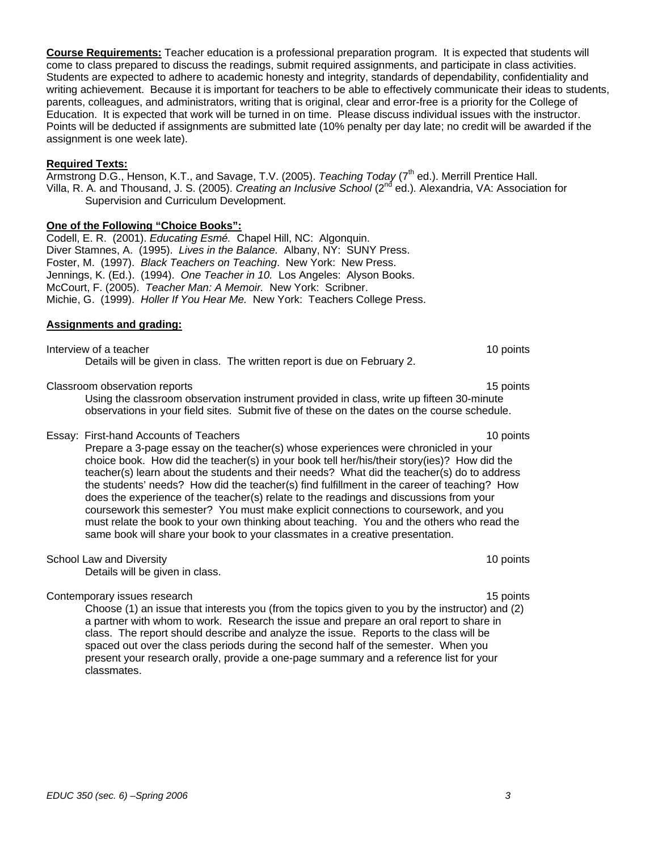**Course Requirements:** Teacher education is a professional preparation program. It is expected that students will come to class prepared to discuss the readings, submit required assignments, and participate in class activities. Students are expected to adhere to academic honesty and integrity, standards of dependability, confidentiality and writing achievement. Because it is important for teachers to be able to effectively communicate their ideas to students, parents, colleagues, and administrators, writing that is original, clear and error-free is a priority for the College of Education. It is expected that work will be turned in on time. Please discuss individual issues with the instructor. Points will be deducted if assignments are submitted late (10% penalty per day late; no credit will be awarded if the assignment is one week late).

### **Required Texts:**

Armstrong D.G., Henson, K.T., and Savage, T.V. (2005). *Teaching Today* (7<sup>th</sup> ed.). Merrill Prentice Hall. Villa, R. A. and Thousand, J. S. (2005). *Creating an Inclusive School* (2nd ed.)*.* Alexandria, VA: Association for Supervision and Curriculum Development.

### **One of the Following "Choice Books":**

Codell, E. R. (2001). *Educating Esmé.* Chapel Hill, NC: Algonquin. Diver Stamnes, A. (1995). *Lives in the Balance.* Albany, NY: SUNY Press. Foster, M. (1997). *Black Teachers on Teaching*. New York: New Press. Jennings, K. (Ed.). (1994). *One Teacher in 10.* Los Angeles: Alyson Books. McCourt, F. (2005). *Teacher Man: A Memoir.* New York: Scribner. Michie, G. (1999). *Holler If You Hear Me.* New York: Teachers College Press.

#### **Assignments and grading:**

Interview of a teacher 10 points and the state of a teacher 10 points of the state of the state of the state of the state of the state of the state of the state of the state of the state of the state of the state of the st Details will be given in class. The written report is due on February 2.

#### Classroom observation reports 15 points 15 points 15 points 15 points 15 points 15 points 15 points 15 points 15 points 15 points 15 points 15 points 15 points 15 points 15 points 15 points 15 points 15 points 15 points 15

Using the classroom observation instrument provided in class, write up fifteen 30-minute observations in your field sites. Submit five of these on the dates on the course schedule.

#### Essay: First-hand Accounts of Teachers 10 points

Prepare a 3-page essay on the teacher(s) whose experiences were chronicled in your choice book. How did the teacher(s) in your book tell her/his/their story(ies)? How did the teacher(s) learn about the students and their needs? What did the teacher(s) do to address the students' needs? How did the teacher(s) find fulfillment in the career of teaching? How does the experience of the teacher(s) relate to the readings and discussions from your coursework this semester? You must make explicit connections to coursework, and you must relate the book to your own thinking about teaching. You and the others who read the same book will share your book to your classmates in a creative presentation.

#### School Law and Diversity 10 points 10 points 10 points 10 points 10 points 10 points 10 points 10 points 10 points 10 points 10 points 10 points 10 points 10 points 10 points 10 points 10 points 10 points 10 points 10 poin

Details will be given in class.

## Contemporary issues research 15 points and the contemporary issues research 15 points and 15 points of the contemporary issues research 15 points and 15 points of the contemporary issues research 15 points and 15 points of

Choose (1) an issue that interests you (from the topics given to you by the instructor) and (2) a partner with whom to work. Research the issue and prepare an oral report to share in class. The report should describe and analyze the issue. Reports to the class will be spaced out over the class periods during the second half of the semester. When you present your research orally, provide a one-page summary and a reference list for your classmates.